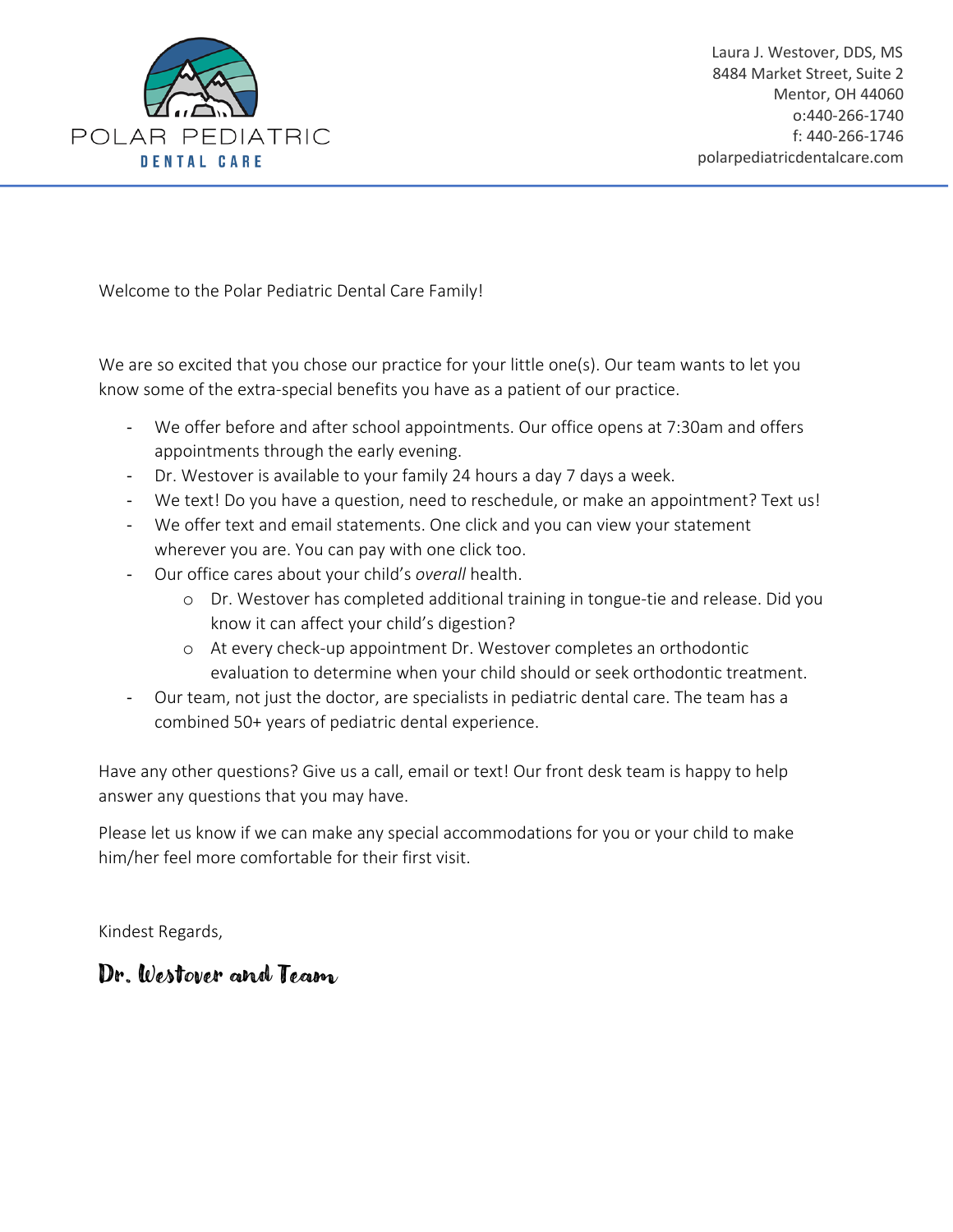

Welcome to the Polar Pediatric Dental Care Family!

We are so excited that you chose our practice for your little one(s). Our team wants to let you know some of the extra-special benefits you have as a patient of our practice.

- We offer before and after school appointments. Our office opens at 7:30am and offers appointments through the early evening.
- Dr. Westover is available to your family 24 hours a day 7 days a week.
- We text! Do you have a question, need to reschedule, or make an appointment? Text us!
- We offer text and email statements. One click and you can view your statement wherever you are. You can pay with one click too.
- Our office cares about your child's *overall* health.
	- o Dr. Westover has completed additional training in tongue-tie and release. Did you know it can affect your child's digestion?
	- o At every check-up appointment Dr. Westover completes an orthodontic evaluation to determine when your child should or seek orthodontic treatment.
- Our team, not just the doctor, are specialists in pediatric dental care. The team has a combined 50+ years of pediatric dental experience.

Have any other questions? Give us a call, email or text! Our front desk team is happy to help answer any questions that you may have.

Please let us know if we can make any special accommodations for you or your child to make him/her feel more comfortable for their first visit.

Kindest Regards,

# Dr. Westover and Team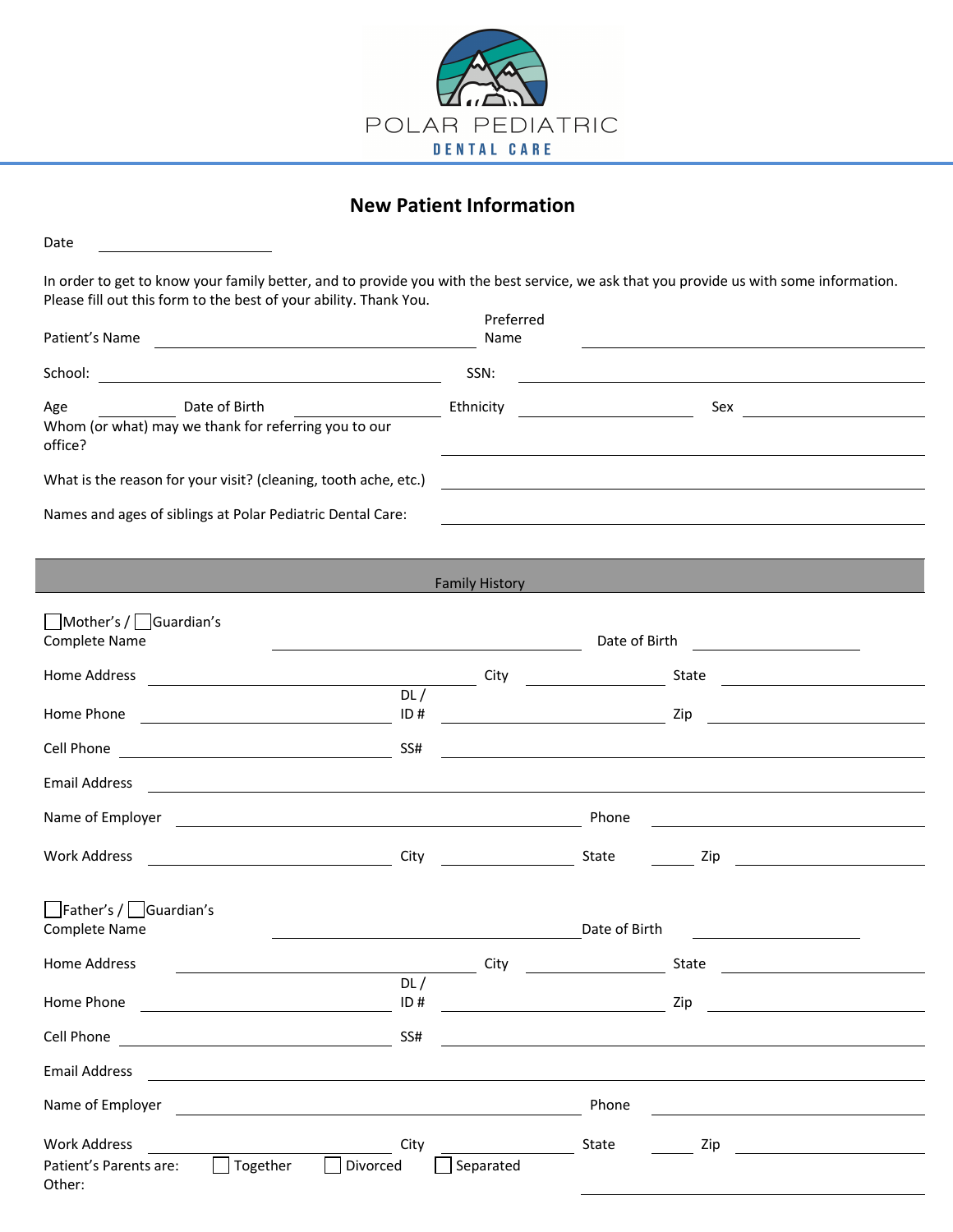

# **New Patient Information**

| Date                                                                                                                                                                                                                                                 |            |                                                                                                                                                                                                                                      |               |                                                                                                                       |
|------------------------------------------------------------------------------------------------------------------------------------------------------------------------------------------------------------------------------------------------------|------------|--------------------------------------------------------------------------------------------------------------------------------------------------------------------------------------------------------------------------------------|---------------|-----------------------------------------------------------------------------------------------------------------------|
| In order to get to know your family better, and to provide you with the best service, we ask that you provide us with some information.<br>Please fill out this form to the best of your ability. Thank You.                                         |            |                                                                                                                                                                                                                                      |               |                                                                                                                       |
| Patient's Name<br><u> 1989 - Johann Barbara, martin amerikan basal dan berasal dalam basal dalam basal dalam basal dalam basal dala</u>                                                                                                              |            | Preferred<br>Name                                                                                                                                                                                                                    |               |                                                                                                                       |
| School:<br><u> 1980 - Johann Barn, mars eta bainar eta bainar eta baina eta baina eta baina eta baina eta baina eta baina e</u>                                                                                                                      |            | SSN:                                                                                                                                                                                                                                 |               | <u> 1980 - Johann Barn, mars ann an t-Amhain Aonaichte ann an t-Aonaichte ann an t-Aonaichte ann an t-Aonaichte a</u> |
| Date of Birth<br>Age<br>Whom (or what) may we thank for referring you to our<br>office?                                                                                                                                                              |            | Ethnicity                                                                                                                                                                                                                            |               | $Sex$ and $\overline{\phantom{a}a}$                                                                                   |
| What is the reason for your visit? (cleaning, tooth ache, etc.)                                                                                                                                                                                      |            |                                                                                                                                                                                                                                      |               |                                                                                                                       |
| Names and ages of siblings at Polar Pediatric Dental Care:                                                                                                                                                                                           |            |                                                                                                                                                                                                                                      |               |                                                                                                                       |
|                                                                                                                                                                                                                                                      |            |                                                                                                                                                                                                                                      |               |                                                                                                                       |
|                                                                                                                                                                                                                                                      |            | <b>Family History</b>                                                                                                                                                                                                                |               |                                                                                                                       |
| Mother's / Guardian's<br>Complete Name                                                                                                                                                                                                               |            |                                                                                                                                                                                                                                      | Date of Birth | <u> 1989 - Andrea State</u>                                                                                           |
| Home Address<br><u>and the state of the state of the state of the state of the state of the state of the state of the state of the state of the state of the state of the state of the state of the state of the state of the state of the state</u> | DL/        |                                                                                                                                                                                                                                      |               | State <u>example</u>                                                                                                  |
| Home Phone                                                                                                                                                                                                                                           | ID#        |                                                                                                                                                                                                                                      |               |                                                                                                                       |
| Cell Phone                                                                                                                                                                                                                                           | SS#        |                                                                                                                                                                                                                                      |               |                                                                                                                       |
| <b>Email Address</b>                                                                                                                                                                                                                                 |            |                                                                                                                                                                                                                                      |               |                                                                                                                       |
| Name of Employer                                                                                                                                                                                                                                     |            |                                                                                                                                                                                                                                      | Phone         |                                                                                                                       |
| Work Address<br><u> 1990 - Johann Barbara, martxa a</u>                                                                                                                                                                                              |            | City <b>Communist Communist Communist Communist Communist Communist Communist Communist Communist Communist Communist Communist Communist Communist Communist Communist Communist Communist Communist Communist Communist Commun</b> | State         | Zip                                                                                                                   |
|                                                                                                                                                                                                                                                      |            |                                                                                                                                                                                                                                      |               |                                                                                                                       |
| $\Box$ Father's / $\Box$ Guardian's<br><b>Complete Name</b>                                                                                                                                                                                          |            |                                                                                                                                                                                                                                      | Date of Birth |                                                                                                                       |
| Home Address                                                                                                                                                                                                                                         |            | City                                                                                                                                                                                                                                 |               | State                                                                                                                 |
| Home Phone                                                                                                                                                                                                                                           | DL/<br>ID# |                                                                                                                                                                                                                                      |               | Zip                                                                                                                   |
| Cell Phone                                                                                                                                                                                                                                           | SS#        |                                                                                                                                                                                                                                      |               |                                                                                                                       |
| <b>Email Address</b>                                                                                                                                                                                                                                 |            |                                                                                                                                                                                                                                      |               |                                                                                                                       |
| Name of Employer                                                                                                                                                                                                                                     |            |                                                                                                                                                                                                                                      | Phone         |                                                                                                                       |
| <b>Work Address</b>                                                                                                                                                                                                                                  | City       |                                                                                                                                                                                                                                      | State         | Zip                                                                                                                   |
| Together<br>Patient's Parents are:<br>Divorced<br>Other:                                                                                                                                                                                             |            | Separated                                                                                                                                                                                                                            |               |                                                                                                                       |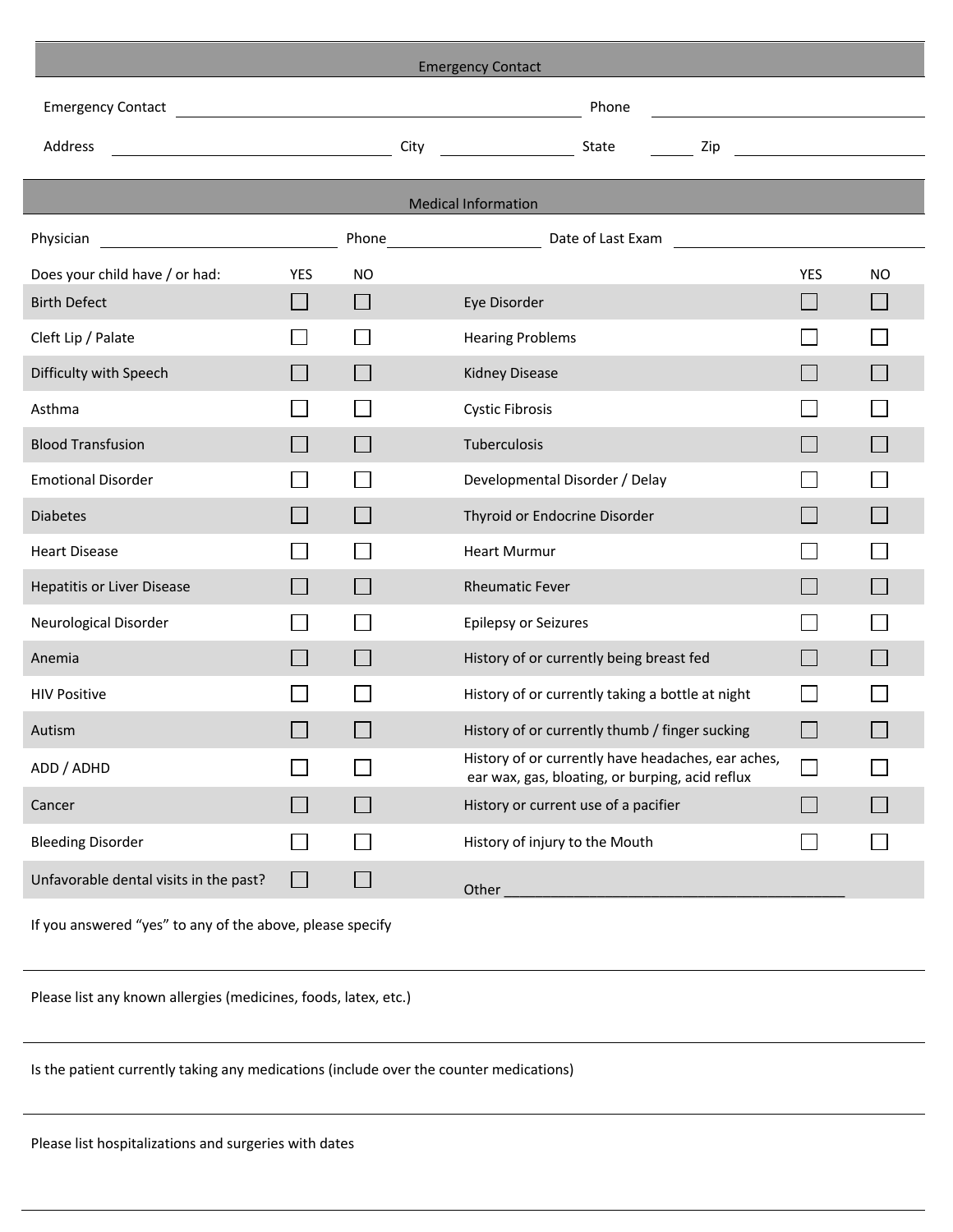| <b>Emergency Contact</b>   |                |                                                                                                                                |                         |                                                                                                                                                                                                                                                                                                                                                                                                                                                          |  |  |  |  |  |  |
|----------------------------|----------------|--------------------------------------------------------------------------------------------------------------------------------|-------------------------|----------------------------------------------------------------------------------------------------------------------------------------------------------------------------------------------------------------------------------------------------------------------------------------------------------------------------------------------------------------------------------------------------------------------------------------------------------|--|--|--|--|--|--|
|                            |                | Phone<br><u> 1989 - Johann Barn, mars and de Branch Barn, mars and de Branch Barn, mars and de Branch Barn, mars and de Br</u> |                         |                                                                                                                                                                                                                                                                                                                                                                                                                                                          |  |  |  |  |  |  |
|                            |                |                                                                                                                                |                         |                                                                                                                                                                                                                                                                                                                                                                                                                                                          |  |  |  |  |  |  |
|                            |                |                                                                                                                                |                         |                                                                                                                                                                                                                                                                                                                                                                                                                                                          |  |  |  |  |  |  |
| <b>Medical Information</b> |                |                                                                                                                                |                         |                                                                                                                                                                                                                                                                                                                                                                                                                                                          |  |  |  |  |  |  |
|                            |                |                                                                                                                                |                         |                                                                                                                                                                                                                                                                                                                                                                                                                                                          |  |  |  |  |  |  |
| YES                        | <b>NO</b>      |                                                                                                                                | <b>YES</b>              | ΝO                                                                                                                                                                                                                                                                                                                                                                                                                                                       |  |  |  |  |  |  |
|                            | $\Box$         | Eye Disorder                                                                                                                   |                         |                                                                                                                                                                                                                                                                                                                                                                                                                                                          |  |  |  |  |  |  |
|                            |                | <b>Hearing Problems</b>                                                                                                        |                         |                                                                                                                                                                                                                                                                                                                                                                                                                                                          |  |  |  |  |  |  |
|                            |                | <b>Kidney Disease</b>                                                                                                          |                         |                                                                                                                                                                                                                                                                                                                                                                                                                                                          |  |  |  |  |  |  |
|                            |                | <b>Cystic Fibrosis</b>                                                                                                         |                         |                                                                                                                                                                                                                                                                                                                                                                                                                                                          |  |  |  |  |  |  |
|                            |                | Tuberculosis                                                                                                                   |                         |                                                                                                                                                                                                                                                                                                                                                                                                                                                          |  |  |  |  |  |  |
|                            |                | Developmental Disorder / Delay                                                                                                 |                         |                                                                                                                                                                                                                                                                                                                                                                                                                                                          |  |  |  |  |  |  |
|                            |                | Thyroid or Endocrine Disorder                                                                                                  |                         |                                                                                                                                                                                                                                                                                                                                                                                                                                                          |  |  |  |  |  |  |
|                            |                | <b>Heart Murmur</b>                                                                                                            |                         |                                                                                                                                                                                                                                                                                                                                                                                                                                                          |  |  |  |  |  |  |
|                            |                | <b>Rheumatic Fever</b>                                                                                                         |                         |                                                                                                                                                                                                                                                                                                                                                                                                                                                          |  |  |  |  |  |  |
|                            |                | Epilepsy or Seizures                                                                                                           |                         |                                                                                                                                                                                                                                                                                                                                                                                                                                                          |  |  |  |  |  |  |
|                            |                | History of or currently being breast fed                                                                                       |                         |                                                                                                                                                                                                                                                                                                                                                                                                                                                          |  |  |  |  |  |  |
|                            |                | History of or currently taking a bottle at night                                                                               |                         |                                                                                                                                                                                                                                                                                                                                                                                                                                                          |  |  |  |  |  |  |
|                            | $\mathbb{R}^n$ | History of or currently thumb / finger sucking                                                                                 | l.                      |                                                                                                                                                                                                                                                                                                                                                                                                                                                          |  |  |  |  |  |  |
|                            |                | History of or currently have headaches, ear aches,<br>ear wax, gas, bloating, or burping, acid reflux                          |                         |                                                                                                                                                                                                                                                                                                                                                                                                                                                          |  |  |  |  |  |  |
|                            | $\mathbf{I}$   | History or current use of a pacifier                                                                                           | l s                     |                                                                                                                                                                                                                                                                                                                                                                                                                                                          |  |  |  |  |  |  |
|                            |                | History of injury to the Mouth                                                                                                 |                         |                                                                                                                                                                                                                                                                                                                                                                                                                                                          |  |  |  |  |  |  |
|                            |                | <u> 1989 - Johann Barn, fransk politik (d. 1989)</u>                                                                           | Phone Date of Last Exam | $\frac{2ip}{2}$ $\frac{2ip}{2}$ $\frac{2ip}{2}$ $\frac{2ip}{2}$ $\frac{2ip}{2}$ $\frac{2ip}{2}$ $\frac{2ip}{2}$ $\frac{2ip}{2}$ $\frac{2ip}{2}$ $\frac{2ip}{2}$ $\frac{2ip}{2}$ $\frac{2ip}{2}$ $\frac{2ip}{2}$ $\frac{2ip}{2}$ $\frac{2ip}{2}$ $\frac{2ip}{2}$ $\frac{2ip}{2}$ $\frac{2ip}{2}$ $\frac{2ip}{2}$ $\frac{2ip}{2}$<br><u> 1989 - Johann Harry Barn, mars and de Branch and de Branch and de Branch and de Branch and de Branch and de B</u> |  |  |  |  |  |  |

If you answered "yes" to any of the above, please specify

Unfavorable dental visits in the past?  $\Box$ 

Please list any known allergies (medicines, foods, latex, etc.)

Is the patient currently taking any medications (include over the counter medications)

Please list hospitalizations and surgeries with dates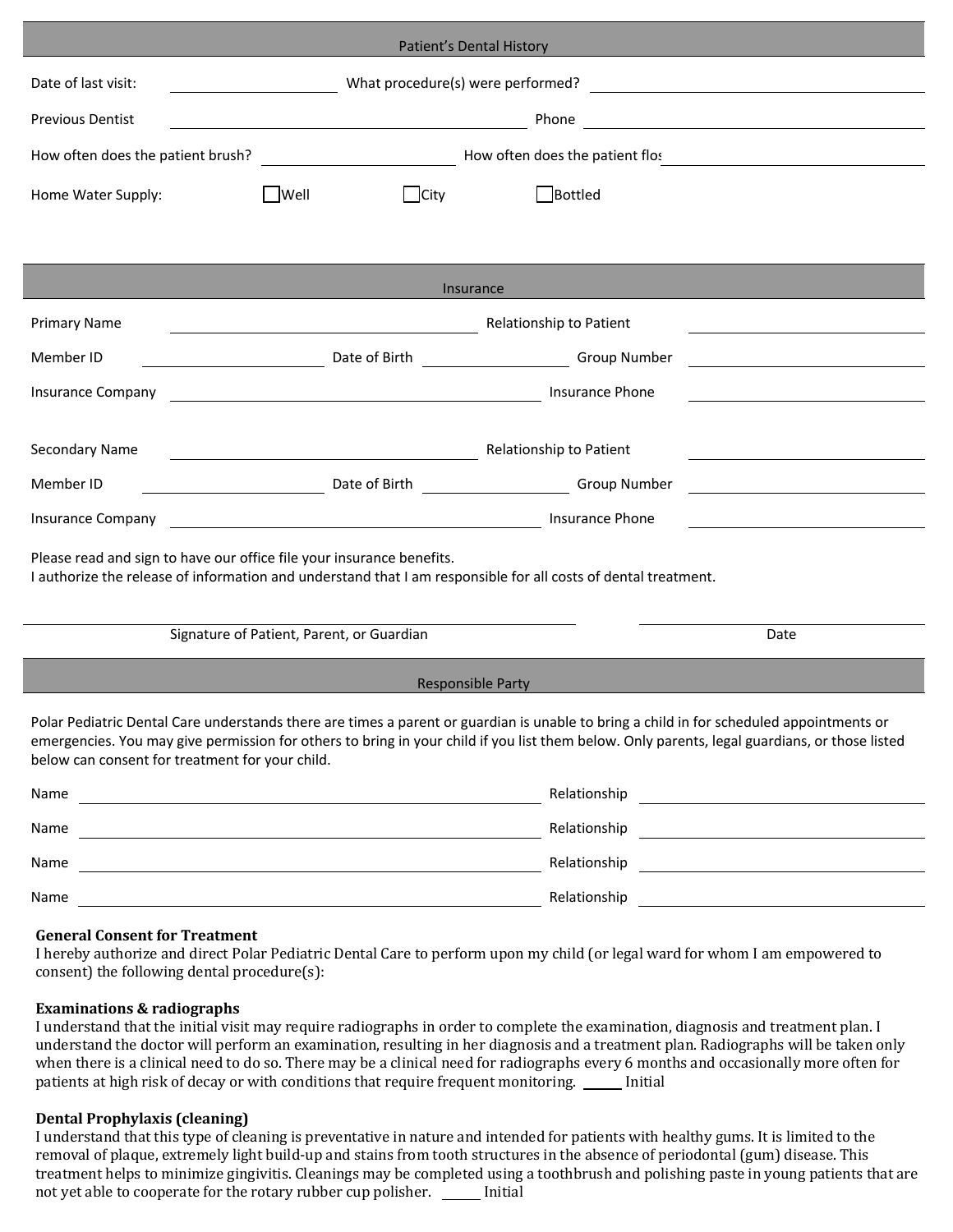| Patient's Dental History                                                                                                                                                                                                                                                                                                                     |                                                                                                                                                                                                                                                                           |      |                                                                                                                              |                                                                                                                        |  |  |  |  |
|----------------------------------------------------------------------------------------------------------------------------------------------------------------------------------------------------------------------------------------------------------------------------------------------------------------------------------------------|---------------------------------------------------------------------------------------------------------------------------------------------------------------------------------------------------------------------------------------------------------------------------|------|------------------------------------------------------------------------------------------------------------------------------|------------------------------------------------------------------------------------------------------------------------|--|--|--|--|
| Date of last visit:                                                                                                                                                                                                                                                                                                                          | What procedure(s) were performed?<br><u>and the state of the state of the state of the state of the state of the state of the state of the state of the state of the state of the state of the state of the state of the state of the state of the state of the state</u> |      |                                                                                                                              |                                                                                                                        |  |  |  |  |
| <b>Previous Dentist</b>                                                                                                                                                                                                                                                                                                                      |                                                                                                                                                                                                                                                                           |      | Phone                                                                                                                        |                                                                                                                        |  |  |  |  |
| How often does the patient brush?                                                                                                                                                                                                                                                                                                            |                                                                                                                                                                                                                                                                           |      | <b>Example 2</b> How often does the patient flos                                                                             |                                                                                                                        |  |  |  |  |
| Home Water Supply:                                                                                                                                                                                                                                                                                                                           | $ $ Well                                                                                                                                                                                                                                                                  | City | Bottled                                                                                                                      |                                                                                                                        |  |  |  |  |
|                                                                                                                                                                                                                                                                                                                                              |                                                                                                                                                                                                                                                                           |      |                                                                                                                              |                                                                                                                        |  |  |  |  |
|                                                                                                                                                                                                                                                                                                                                              |                                                                                                                                                                                                                                                                           |      |                                                                                                                              |                                                                                                                        |  |  |  |  |
| Insurance                                                                                                                                                                                                                                                                                                                                    |                                                                                                                                                                                                                                                                           |      |                                                                                                                              |                                                                                                                        |  |  |  |  |
| <b>Primary Name</b>                                                                                                                                                                                                                                                                                                                          |                                                                                                                                                                                                                                                                           |      | Relationship to Patient                                                                                                      |                                                                                                                        |  |  |  |  |
| Member ID                                                                                                                                                                                                                                                                                                                                    |                                                                                                                                                                                                                                                                           |      | Date of Birth Group Number                                                                                                   |                                                                                                                        |  |  |  |  |
| <b>Insurance Company</b>                                                                                                                                                                                                                                                                                                                     |                                                                                                                                                                                                                                                                           |      | Insurance Phone                                                                                                              |                                                                                                                        |  |  |  |  |
| Secondary Name                                                                                                                                                                                                                                                                                                                               | <b>Relationship to Patient Relationship to Patient</b>                                                                                                                                                                                                                    |      |                                                                                                                              |                                                                                                                        |  |  |  |  |
| Member ID<br><u> 1990 - Johann Barbara, martin a</u>                                                                                                                                                                                                                                                                                         | Date of Birth                                                                                                                                                                                                                                                             |      | <b>Example 18 Service Concrete Group Number</b>                                                                              |                                                                                                                        |  |  |  |  |
| <b>Insurance Company</b>                                                                                                                                                                                                                                                                                                                     |                                                                                                                                                                                                                                                                           |      | Insurance Phone                                                                                                              |                                                                                                                        |  |  |  |  |
| <u> 1989 - Johann Barn, fransk politik (d. 1989)</u><br>Please read and sign to have our office file your insurance benefits.<br>I authorize the release of information and understand that I am responsible for all costs of dental treatment.                                                                                              |                                                                                                                                                                                                                                                                           |      |                                                                                                                              |                                                                                                                        |  |  |  |  |
| Signature of Patient, Parent, or Guardian                                                                                                                                                                                                                                                                                                    |                                                                                                                                                                                                                                                                           |      |                                                                                                                              | Date                                                                                                                   |  |  |  |  |
| <b>Responsible Party</b>                                                                                                                                                                                                                                                                                                                     |                                                                                                                                                                                                                                                                           |      |                                                                                                                              |                                                                                                                        |  |  |  |  |
| Polar Pediatric Dental Care understands there are times a parent or guardian is unable to bring a child in for scheduled appointments or<br>emergencies. You may give permission for others to bring in your child if you list them below. Only parents, legal guardians, or those listed<br>below can consent for treatment for your child. |                                                                                                                                                                                                                                                                           |      |                                                                                                                              |                                                                                                                        |  |  |  |  |
| Name<br><u> 1989 - Johann Barn, fransk politik (d. 1989)</u>                                                                                                                                                                                                                                                                                 |                                                                                                                                                                                                                                                                           |      |                                                                                                                              |                                                                                                                        |  |  |  |  |
| Name                                                                                                                                                                                                                                                                                                                                         |                                                                                                                                                                                                                                                                           |      | Relationship                                                                                                                 | <u> Alexandro Alexandro Alexandro Alexandro Alexandro Alexandro Alexandro Alexandro Alexandro Alexandro Alexandro </u> |  |  |  |  |
| Name<br><u> 1989 - Johann Barn, mars eta bat erroman erroman erroman erroman erroman erroman erroman erroman erroman err</u>                                                                                                                                                                                                                 |                                                                                                                                                                                                                                                                           |      | Relationship                                                                                                                 | <u> 1980 - Andrea State Barbara, politik eta politik eta politik eta politik eta politik eta politik eta politik </u>  |  |  |  |  |
| Name<br><u> 1980 - Johann Barbara, martxa alemaniar amerikan a</u>                                                                                                                                                                                                                                                                           |                                                                                                                                                                                                                                                                           |      |                                                                                                                              |                                                                                                                        |  |  |  |  |
| <b>General Consent for Treatment</b>                                                                                                                                                                                                                                                                                                         |                                                                                                                                                                                                                                                                           |      | I hereby authorize and direct Polar Pediatric Dental Care to perform upon my child (or legal ward for whom I am empowered to |                                                                                                                        |  |  |  |  |

consent) the following dental procedure(s):

## **Examinations & radiographs**

I understand that the initial visit may require radiographs in order to complete the examination, diagnosis and treatment plan. I understand the doctor will perform an examination, resulting in her diagnosis and a treatment plan. Radiographs will be taken only when there is a clinical need to do so. There may be a clinical need for radiographs every 6 months and occasionally more often for patients at high risk of decay or with conditions that require frequent monitoring. \_\_\_\_\_ Initial

## **Dental Prophylaxis (cleaning)**

I understand that this type of cleaning is preventative in nature and intended for patients with healthy gums. It is limited to the removal of plaque, extremely light build-up and stains from tooth structures in the absence of periodontal (gum) disease. This treatment helps to minimize gingivitis. Cleanings may be completed using a toothbrush and polishing paste in young patients that are not yet able to cooperate for the rotary rubber cup polisher. \_\_\_\_\_ Initial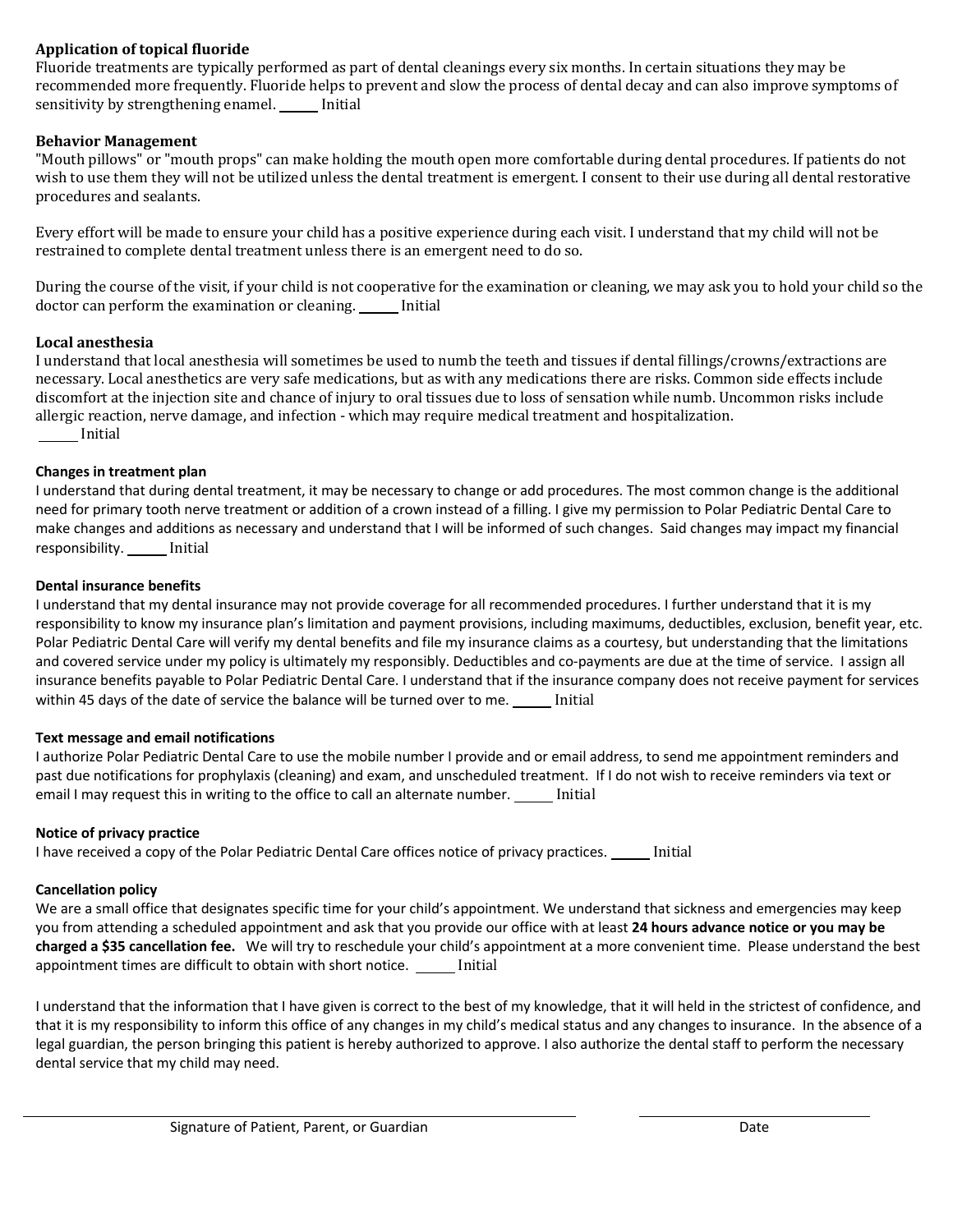### **Application of topical fluoride**

Fluoride treatments are typically performed as part of dental cleanings every six months. In certain situations they may be recommended more frequently. Fluoride helps to prevent and slow the process of dental decay and can also improve symptoms of sensitivity by strengthening enamel. Initial

#### **Behavior Management**

"Mouth pillows" or "mouth props" can make holding the mouth open more comfortable during dental procedures. If patients do not wish to use them they will not be utilized unless the dental treatment is emergent. I consent to their use during all dental restorative procedures and sealants.

Every effort will be made to ensure your child has a positive experience during each visit. I understand that my child will not be restrained to complete dental treatment unless there is an emergent need to do so.

During the course of the visit, if your child is not cooperative for the examination or cleaning, we may ask you to hold your child so the doctor can perform the examination or cleaning. [Initial]

#### **Local anesthesia**

I understand that local anesthesia will sometimes be used to numb the teeth and tissues if dental fillings/crowns/extractions are necessary. Local anesthetics are very safe medications, but as with any medications there are risks. Common side effects include discomfort at the injection site and chance of injury to oral tissues due to loss of sensation while numb. Uncommon risks include allergic reaction, nerve damage, and infection - which may require medical treatment and hospitalization. Initial

#### **Changes in treatment plan**

I understand that during dental treatment, it may be necessary to change or add procedures. The most common change is the additional need for primary tooth nerve treatment or addition of a crown instead of a filling. I give my permission to Polar Pediatric Dental Care to make changes and additions as necessary and understand that I will be informed of such changes. Said changes may impact my financial responsibility. \_\_\_\_\_ Initial

#### **Dental insurance benefits**

I understand that my dental insurance may not provide coverage for all recommended procedures. I further understand that it is my responsibility to know my insurance plan's limitation and payment provisions, including maximums, deductibles, exclusion, benefit year, etc. Polar Pediatric Dental Care will verify my dental benefits and file my insurance claims as a courtesy, but understanding that the limitations and covered service under my policy is ultimately my responsibly. Deductibles and co-payments are due at the time of service. I assign all insurance benefits payable to Polar Pediatric Dental Care. I understand that if the insurance company does not receive payment for services within 45 days of the date of service the balance will be turned over to me. \_\_\_\_\_ Initial

#### **Text message and email notifications**

I authorize Polar Pediatric Dental Care to use the mobile number I provide and or email address, to send me appointment reminders and past due notifications for prophylaxis (cleaning) and exam, and unscheduled treatment. If I do not wish to receive reminders via text or email I may request this in writing to the office to call an alternate number. Initial

#### **Notice of privacy practice**

I have received a copy of the Polar Pediatric Dental Care offices notice of privacy practices. Initial

#### **Cancellation policy**

We are a small office that designates specific time for your child's appointment. We understand that sickness and emergencies may keep you from attending a scheduled appointment and ask that you provide our office with at least **24 hours advance notice or you may be charged a \$35 cancellation fee.** We will try to reschedule your child's appointment at a more convenient time. Please understand the best appointment times are difficult to obtain with short notice. \_\_\_\_\_ Initial

I understand that the information that I have given is correct to the best of my knowledge, that it will held in the strictest of confidence, and that it is my responsibility to inform this office of any changes in my child's medical status and any changes to insurance. In the absence of a legal guardian, the person bringing this patient is hereby authorized to approve. I also authorize the dental staff to perform the necessary dental service that my child may need.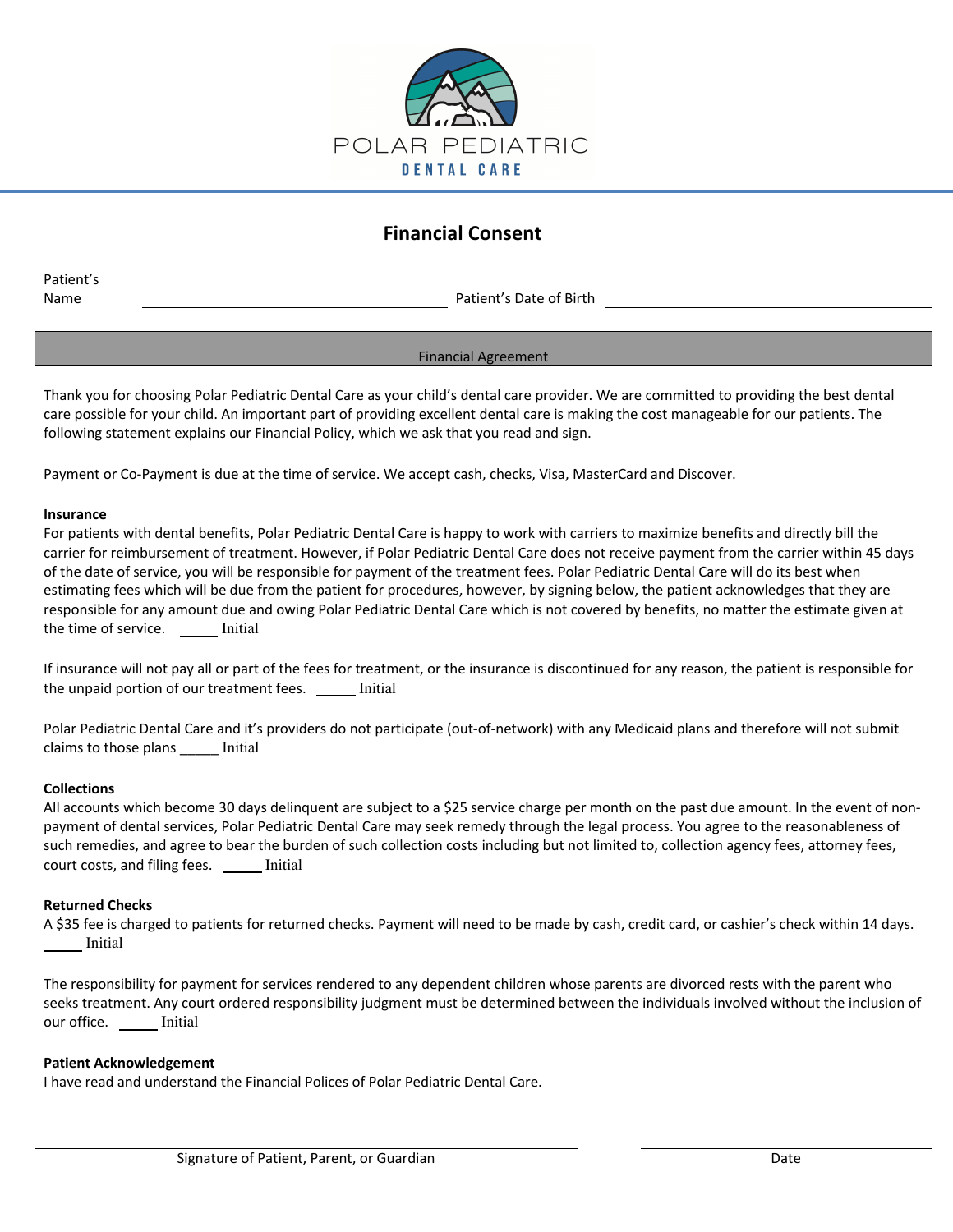

# **Financial Consent**

Patient's

Name **Name** Patient's Date of Birth

#### Financial Agreement

Thank you for choosing Polar Pediatric Dental Care as your child's dental care provider. We are committed to providing the best dental care possible for your child. An important part of providing excellent dental care is making the cost manageable for our patients. The following statement explains our Financial Policy, which we ask that you read and sign.

Payment or Co-Payment is due at the time of service. We accept cash, checks, Visa, MasterCard and Discover.

#### **Insurance**

For patients with dental benefits, Polar Pediatric Dental Care is happy to work with carriers to maximize benefits and directly bill the carrier for reimbursement of treatment. However, if Polar Pediatric Dental Care does not receive payment from the carrier within 45 days of the date of service, you will be responsible for payment of the treatment fees. Polar Pediatric Dental Care will do its best when estimating fees which will be due from the patient for procedures, however, by signing below, the patient acknowledges that they are responsible for any amount due and owing Polar Pediatric Dental Care which is not covered by benefits, no matter the estimate given at the time of service. Initial

If insurance will not pay all or part of the fees for treatment, or the insurance is discontinued for any reason, the patient is responsible for the unpaid portion of our treatment fees. Initial

Polar Pediatric Dental Care and it's providers do not participate (out-of-network) with any Medicaid plans and therefore will not submit claims to those plans **Initial** 

#### **Collections**

All accounts which become 30 days delinquent are subject to a \$25 service charge per month on the past due amount. In the event of nonpayment of dental services, Polar Pediatric Dental Care may seek remedy through the legal process. You agree to the reasonableness of such remedies, and agree to bear the burden of such collection costs including but not limited to, collection agency fees, attorney fees, court costs, and filing fees. \_\_\_\_\_ Initial

#### **Returned Checks**

A \$35 fee is charged to patients for returned checks. Payment will need to be made by cash, credit card, or cashier's check within 14 days. Initial

The responsibility for payment for services rendered to any dependent children whose parents are divorced rests with the parent who seeks treatment. Any court ordered responsibility judgment must be determined between the individuals involved without the inclusion of our office. \_\_\_\_\_\_ Initial

#### **Patient Acknowledgement**

I have read and understand the Financial Polices of Polar Pediatric Dental Care.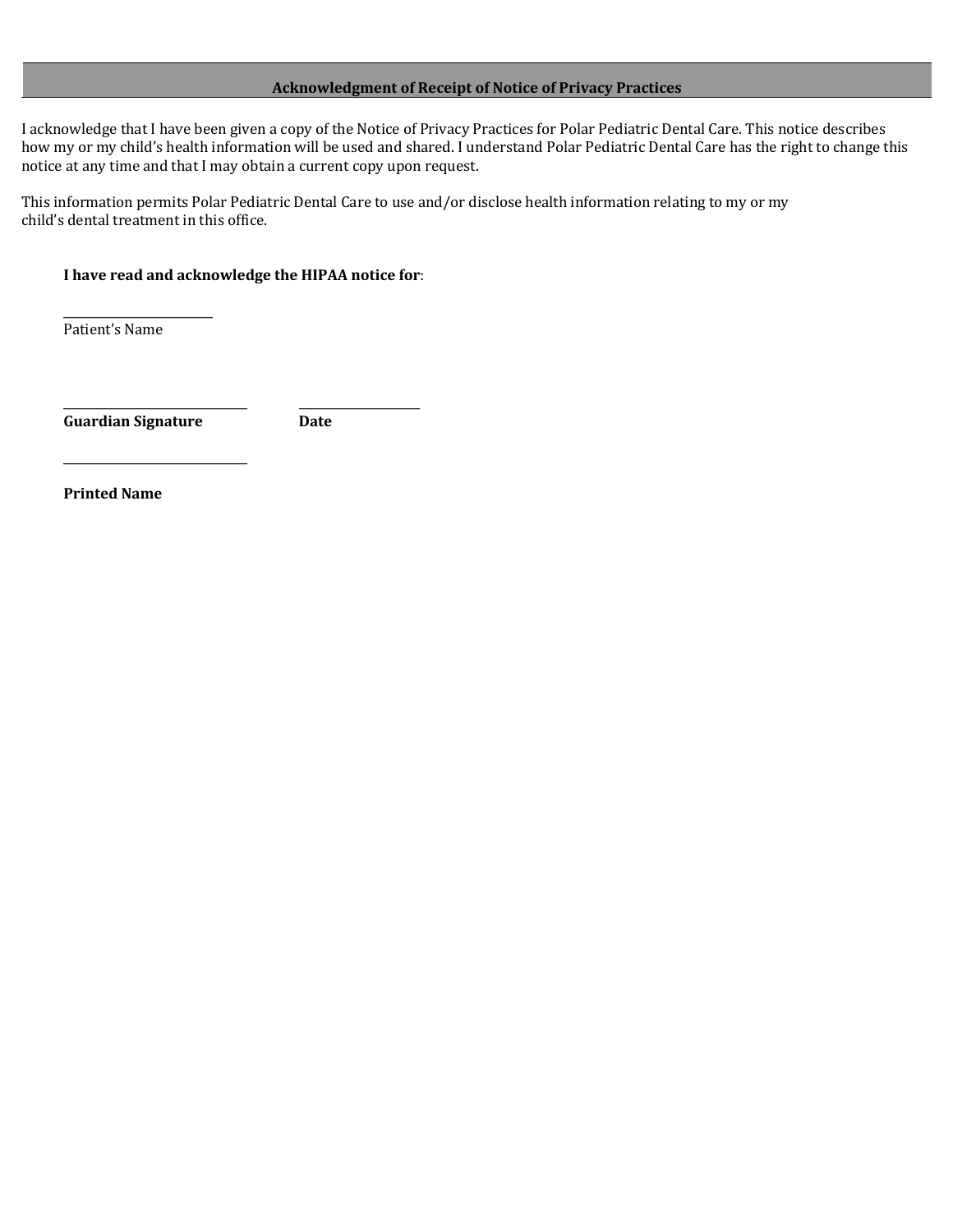#### **Acknowledgment of Receipt of Notice of Privacy Practices**

I acknowledge that I have been given a copy of the Notice of Privacy Practices for Polar Pediatric Dental Care. This notice describes how my or my child's health information will be used and shared. I understand Polar Pediatric Dental Care has the right to change this notice at any time and that I may obtain a current copy upon request.

This information permits Polar Pediatric Dental Care to use and/or disclose health information relating to my or my child's dental treatment in this office.

#### I have read and acknowledge the HIPAA notice for:

\_\_\_\_\_\_\_\_\_\_\_\_\_\_\_\_\_\_\_\_\_\_\_\_\_\_\_\_\_\_\_\_ \_\_\_\_\_\_\_\_\_\_\_\_\_\_\_\_\_\_\_\_\_

Patient's Name

\_\_\_\_\_\_\_\_\_\_\_\_\_\_\_\_\_\_\_\_\_\_\_\_\_\_

Guardian Signature **Date** 

\_\_\_\_\_\_\_\_\_\_\_\_\_\_\_\_\_\_\_\_\_\_\_\_\_\_\_\_\_\_\_\_

**Printed Name**